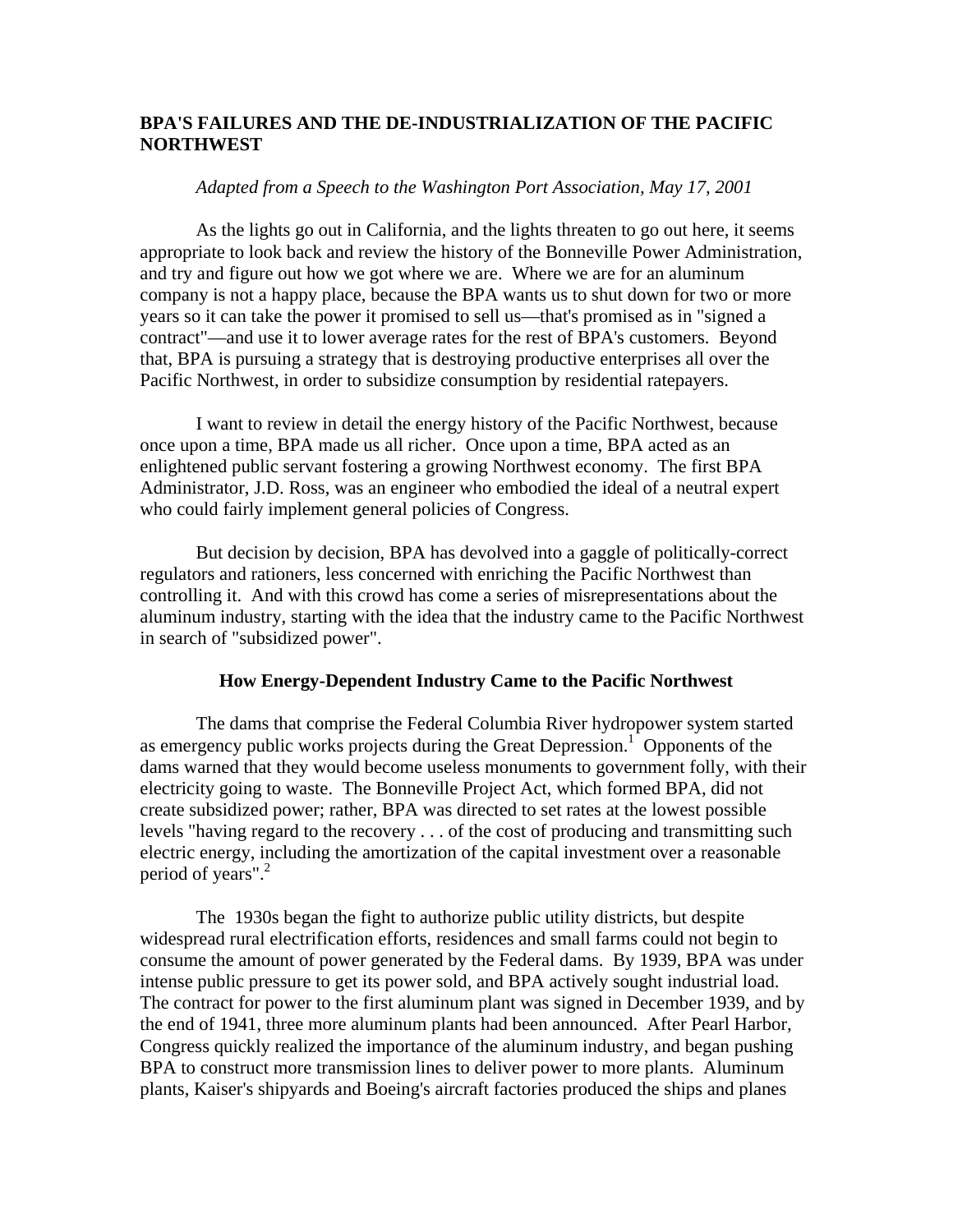# **BPA'S FAILURES AND THE DE-INDUSTRIALIZATION OF THE PACIFIC NORTHWEST**

## *Adapted from a Speech to the Washington Port Association, May 17, 2001*

As the lights go out in California, and the lights threaten to go out here, it seems appropriate to look back and review the history of the Bonneville Power Administration, and try and figure out how we got where we are. Where we are for an aluminum company is not a happy place, because the BPA wants us to shut down for two or more years so it can take the power it promised to sell us—that's promised as in "signed a contract"—and use it to lower average rates for the rest of BPA's customers. Beyond that, BPA is pursuing a strategy that is destroying productive enterprises all over the Pacific Northwest, in order to subsidize consumption by residential ratepayers.

I want to review in detail the energy history of the Pacific Northwest, because once upon a time, BPA made us all richer. Once upon a time, BPA acted as an enlightened public servant fostering a growing Northwest economy. The first BPA Administrator, J.D. Ross, was an engineer who embodied the ideal of a neutral expert who could fairly implement general policies of Congress.

But decision by decision, BPA has devolved into a gaggle of politically-correct regulators and rationers, less concerned with enriching the Pacific Northwest than controlling it. And with this crowd has come a series of misrepresentations about the aluminum industry, starting with the idea that the industry came to the Pacific Northwest in search of "subsidized power".

#### **How Energy-Dependent Industry Came to the Pacific Northwest**

 The dams that comprise the Federal Columbia River hydropower system started as emergency public works projects during the Great Depression.<sup>1</sup> Opponents of the dams warned that they would become useless monuments to government folly, with their electricity going to waste. The Bonneville Project Act, which formed BPA, did not create subsidized power; rather, BPA was directed to set rates at the lowest possible levels "having regard to the recovery . . . of the cost of producing and transmitting such electric energy, including the amortization of the capital investment over a reasonable period of years".<sup>2</sup>

The 1930s began the fight to authorize public utility districts, but despite widespread rural electrification efforts, residences and small farms could not begin to consume the amount of power generated by the Federal dams. By 1939, BPA was under intense public pressure to get its power sold, and BPA actively sought industrial load. The contract for power to the first aluminum plant was signed in December 1939, and by the end of 1941, three more aluminum plants had been announced. After Pearl Harbor, Congress quickly realized the importance of the aluminum industry, and began pushing BPA to construct more transmission lines to deliver power to more plants. Aluminum plants, Kaiser's shipyards and Boeing's aircraft factories produced the ships and planes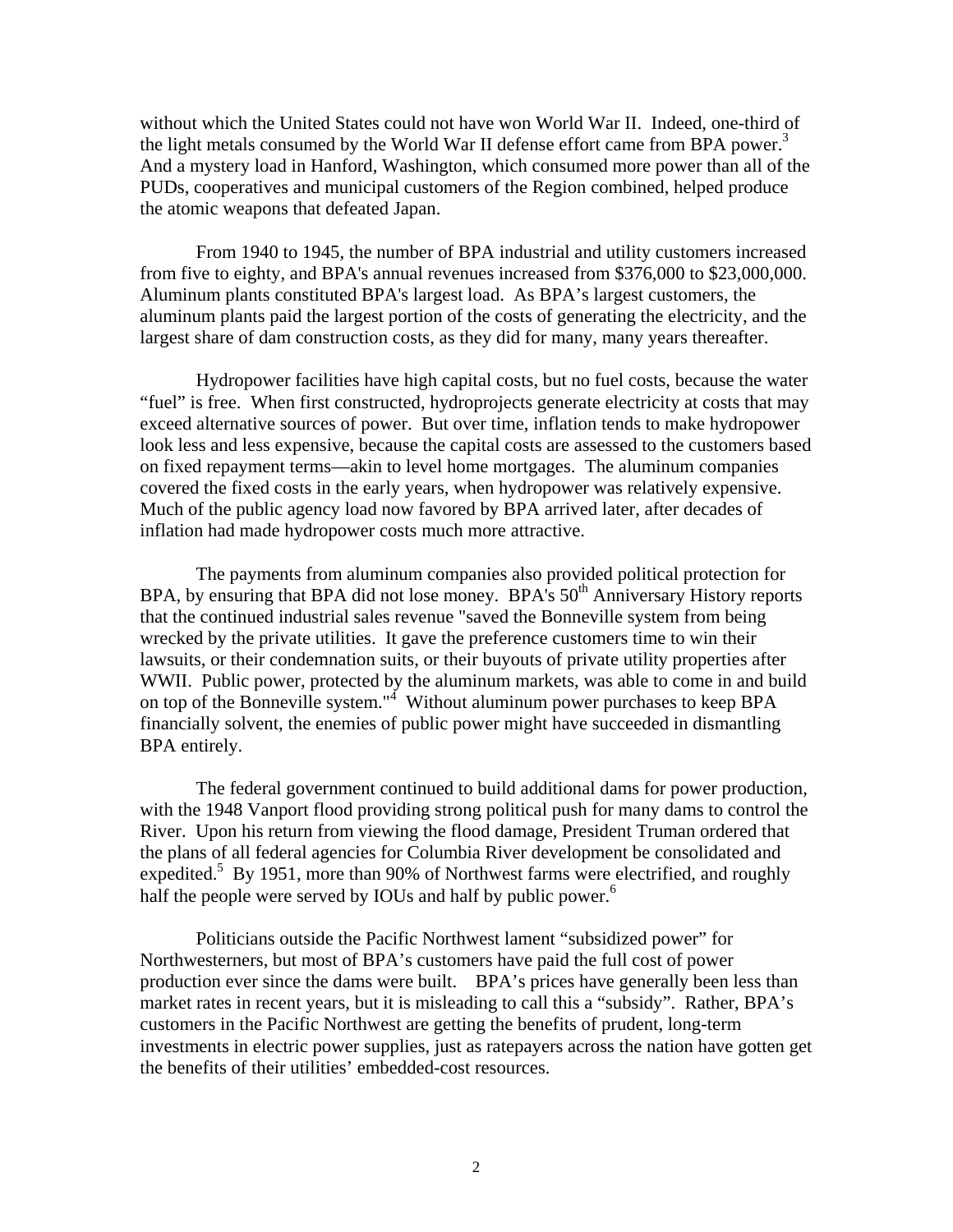without which the United States could not have won World War II. Indeed, one-third of the light metals consumed by the World War II defense effort came from BPA power.<sup>3</sup> And a mystery load in Hanford, Washington, which consumed more power than all of the PUDs, cooperatives and municipal customers of the Region combined, helped produce the atomic weapons that defeated Japan.

From 1940 to 1945, the number of BPA industrial and utility customers increased from five to eighty, and BPA's annual revenues increased from \$376,000 to \$23,000,000. Aluminum plants constituted BPA's largest load. As BPA's largest customers, the aluminum plants paid the largest portion of the costs of generating the electricity, and the largest share of dam construction costs, as they did for many, many years thereafter.

 Hydropower facilities have high capital costs, but no fuel costs, because the water "fuel" is free. When first constructed, hydroprojects generate electricity at costs that may exceed alternative sources of power. But over time, inflation tends to make hydropower look less and less expensive, because the capital costs are assessed to the customers based on fixed repayment terms—akin to level home mortgages. The aluminum companies covered the fixed costs in the early years, when hydropower was relatively expensive. Much of the public agency load now favored by BPA arrived later, after decades of inflation had made hydropower costs much more attractive.

 The payments from aluminum companies also provided political protection for BPA, by ensuring that BPA did not lose money. BPA's  $50<sup>th</sup>$  Anniversary History reports that the continued industrial sales revenue "saved the Bonneville system from being wrecked by the private utilities. It gave the preference customers time to win their lawsuits, or their condemnation suits, or their buyouts of private utility properties after WWII. Public power, protected by the aluminum markets, was able to come in and build on top of the Bonneville system." $4$  Without aluminum power purchases to keep BPA financially solvent, the enemies of public power might have succeeded in dismantling BPA entirely.

 The federal government continued to build additional dams for power production, with the 1948 Vanport flood providing strong political push for many dams to control the River. Upon his return from viewing the flood damage, President Truman ordered that the plans of all federal agencies for Columbia River development be consolidated and expedited.<sup>5</sup> By 1951, more than 90% of Northwest farms were electrified, and roughly half the people were served by IOUs and half by public power.<sup>6</sup>

Politicians outside the Pacific Northwest lament "subsidized power" for Northwesterners, but most of BPA's customers have paid the full cost of power production ever since the dams were built. BPA's prices have generally been less than market rates in recent years, but it is misleading to call this a "subsidy". Rather, BPA's customers in the Pacific Northwest are getting the benefits of prudent, long-term investments in electric power supplies, just as ratepayers across the nation have gotten get the benefits of their utilities' embedded-cost resources.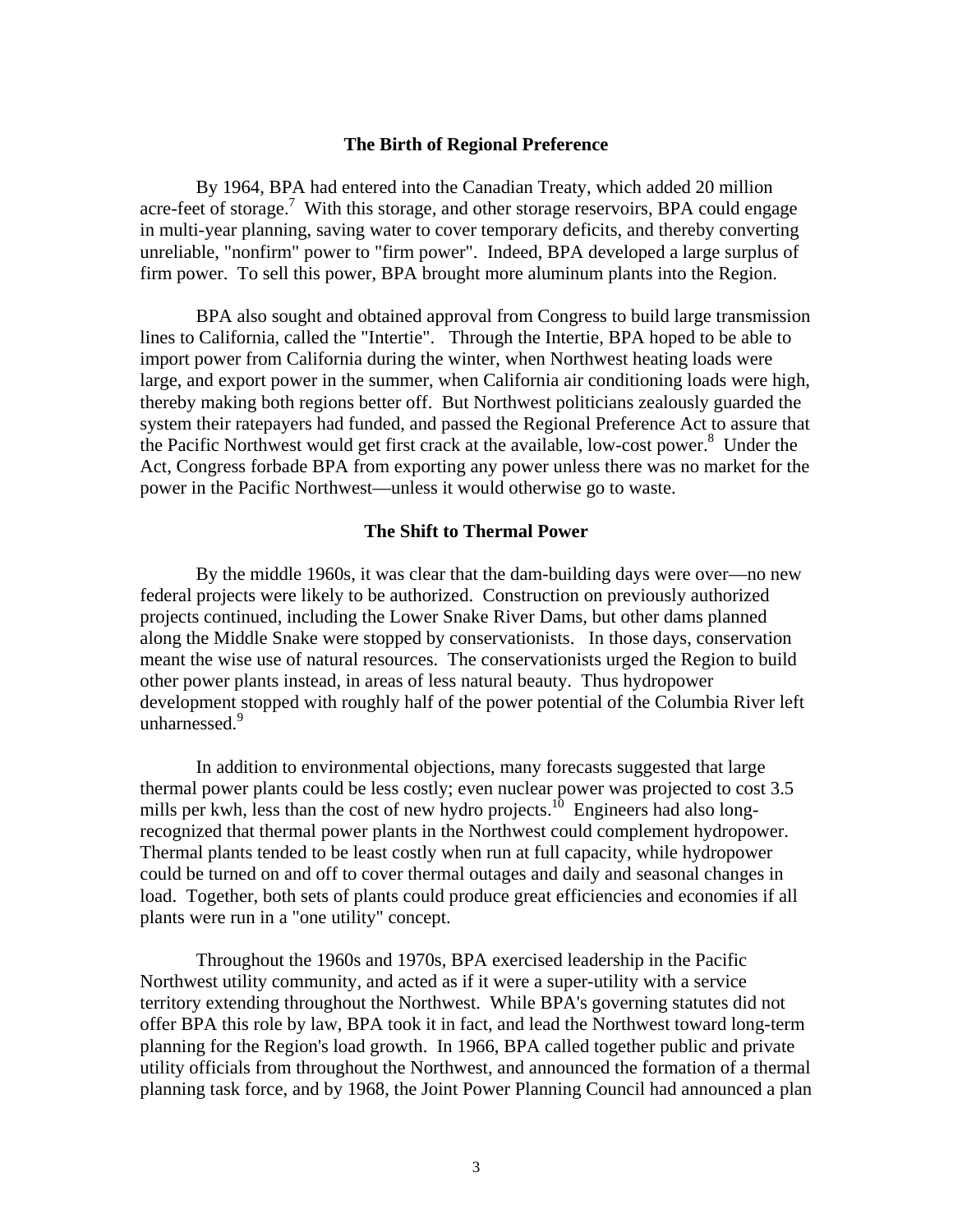## **The Birth of Regional Preference**

 By 1964, BPA had entered into the Canadian Treaty, which added 20 million acre-feet of storage.<sup>7</sup> With this storage, and other storage reservoirs, BPA could engage in multi-year planning, saving water to cover temporary deficits, and thereby converting unreliable, "nonfirm" power to "firm power". Indeed, BPA developed a large surplus of firm power. To sell this power, BPA brought more aluminum plants into the Region.

BPA also sought and obtained approval from Congress to build large transmission lines to California, called the "Intertie". Through the Intertie, BPA hoped to be able to import power from California during the winter, when Northwest heating loads were large, and export power in the summer, when California air conditioning loads were high, thereby making both regions better off. But Northwest politicians zealously guarded the system their ratepayers had funded, and passed the Regional Preference Act to assure that the Pacific Northwest would get first crack at the available, low-cost power.<sup>8</sup> Under the Act, Congress forbade BPA from exporting any power unless there was no market for the power in the Pacific Northwest—unless it would otherwise go to waste.

#### **The Shift to Thermal Power**

By the middle 1960s, it was clear that the dam-building days were over—no new federal projects were likely to be authorized. Construction on previously authorized projects continued, including the Lower Snake River Dams, but other dams planned along the Middle Snake were stopped by conservationists. In those days, conservation meant the wise use of natural resources. The conservationists urged the Region to build other power plants instead, in areas of less natural beauty. Thus hydropower development stopped with roughly half of the power potential of the Columbia River left unharnessed.<sup>9</sup>

In addition to environmental objections, many forecasts suggested that large thermal power plants could be less costly; even nuclear power was projected to cost 3.5 mills per kwh, less than the cost of new hydro projects.<sup>10</sup> Engineers had also longrecognized that thermal power plants in the Northwest could complement hydropower. Thermal plants tended to be least costly when run at full capacity, while hydropower could be turned on and off to cover thermal outages and daily and seasonal changes in load. Together, both sets of plants could produce great efficiencies and economies if all plants were run in a "one utility" concept.

Throughout the 1960s and 1970s, BPA exercised leadership in the Pacific Northwest utility community, and acted as if it were a super-utility with a service territory extending throughout the Northwest. While BPA's governing statutes did not offer BPA this role by law, BPA took it in fact, and lead the Northwest toward long-term planning for the Region's load growth. In 1966, BPA called together public and private utility officials from throughout the Northwest, and announced the formation of a thermal planning task force, and by 1968, the Joint Power Planning Council had announced a plan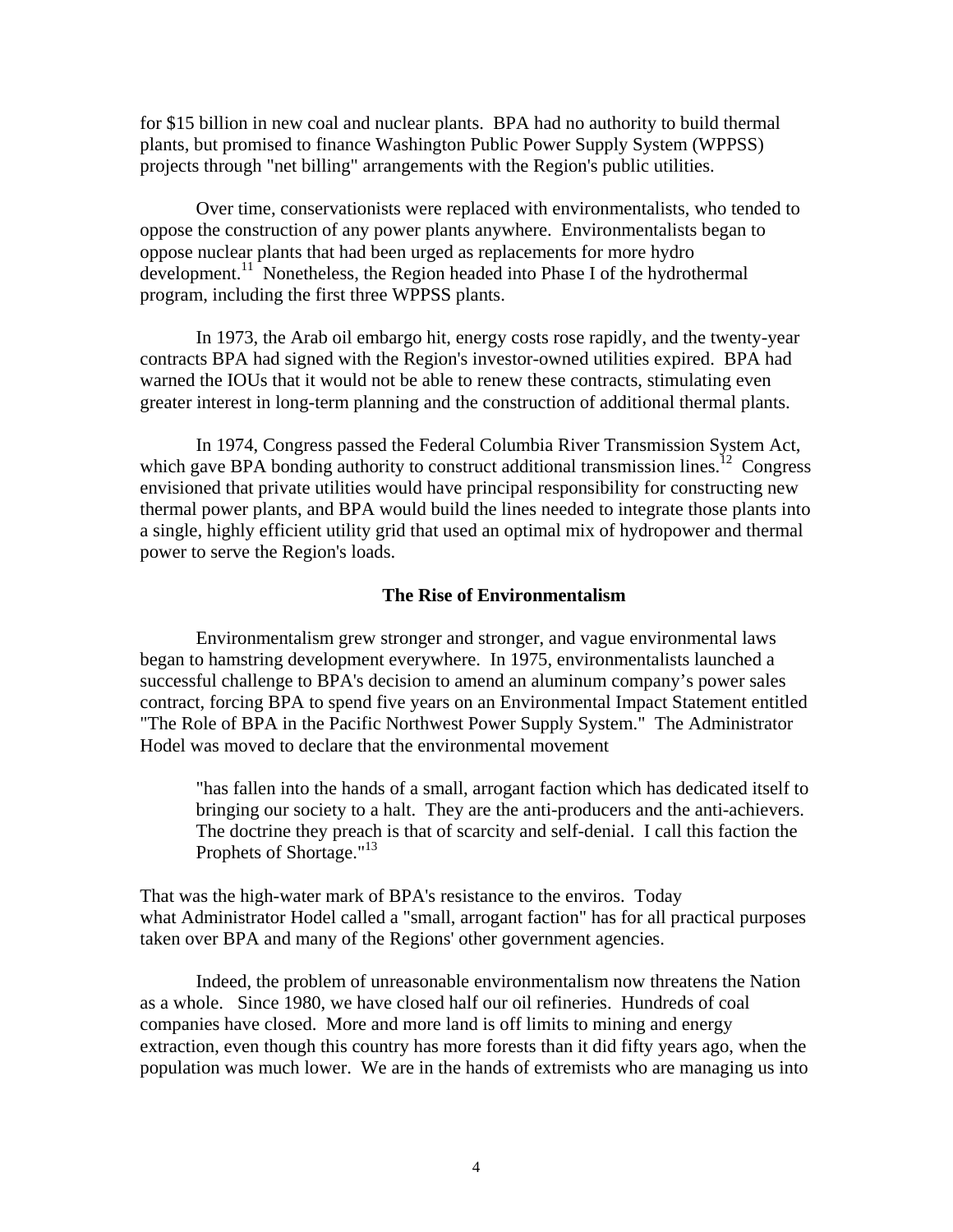for \$15 billion in new coal and nuclear plants. BPA had no authority to build thermal plants, but promised to finance Washington Public Power Supply System (WPPSS) projects through "net billing" arrangements with the Region's public utilities.

Over time, conservationists were replaced with environmentalists, who tended to oppose the construction of any power plants anywhere. Environmentalists began to oppose nuclear plants that had been urged as replacements for more hydro development.<sup>11</sup> Nonetheless, the Region headed into Phase I of the hydrothermal program, including the first three WPPSS plants.

In 1973, the Arab oil embargo hit, energy costs rose rapidly, and the twenty-year contracts BPA had signed with the Region's investor-owned utilities expired. BPA had warned the IOUs that it would not be able to renew these contracts, stimulating even greater interest in long-term planning and the construction of additional thermal plants.

In 1974, Congress passed the Federal Columbia River Transmission System Act, which gave BPA bonding authority to construct additional transmission lines.<sup>12</sup> Congress envisioned that private utilities would have principal responsibility for constructing new thermal power plants, and BPA would build the lines needed to integrate those plants into a single, highly efficient utility grid that used an optimal mix of hydropower and thermal power to serve the Region's loads.

#### **The Rise of Environmentalism**

Environmentalism grew stronger and stronger, and vague environmental laws began to hamstring development everywhere. In 1975, environmentalists launched a successful challenge to BPA's decision to amend an aluminum company's power sales contract, forcing BPA to spend five years on an Environmental Impact Statement entitled "The Role of BPA in the Pacific Northwest Power Supply System." The Administrator Hodel was moved to declare that the environmental movement

"has fallen into the hands of a small, arrogant faction which has dedicated itself to bringing our society to a halt. They are the anti-producers and the anti-achievers. The doctrine they preach is that of scarcity and self-denial. I call this faction the Prophets of Shortage."<sup>13</sup>

That was the high-water mark of BPA's resistance to the enviros. Today what Administrator Hodel called a "small, arrogant faction" has for all practical purposes taken over BPA and many of the Regions' other government agencies.

Indeed, the problem of unreasonable environmentalism now threatens the Nation as a whole.Since 1980, we have closed half our oil refineries. Hundreds of coal companies have closed. More and more land is off limits to mining and energy extraction, even though this country has more forests than it did fifty years ago, when the population was much lower. We are in the hands of extremists who are managing us into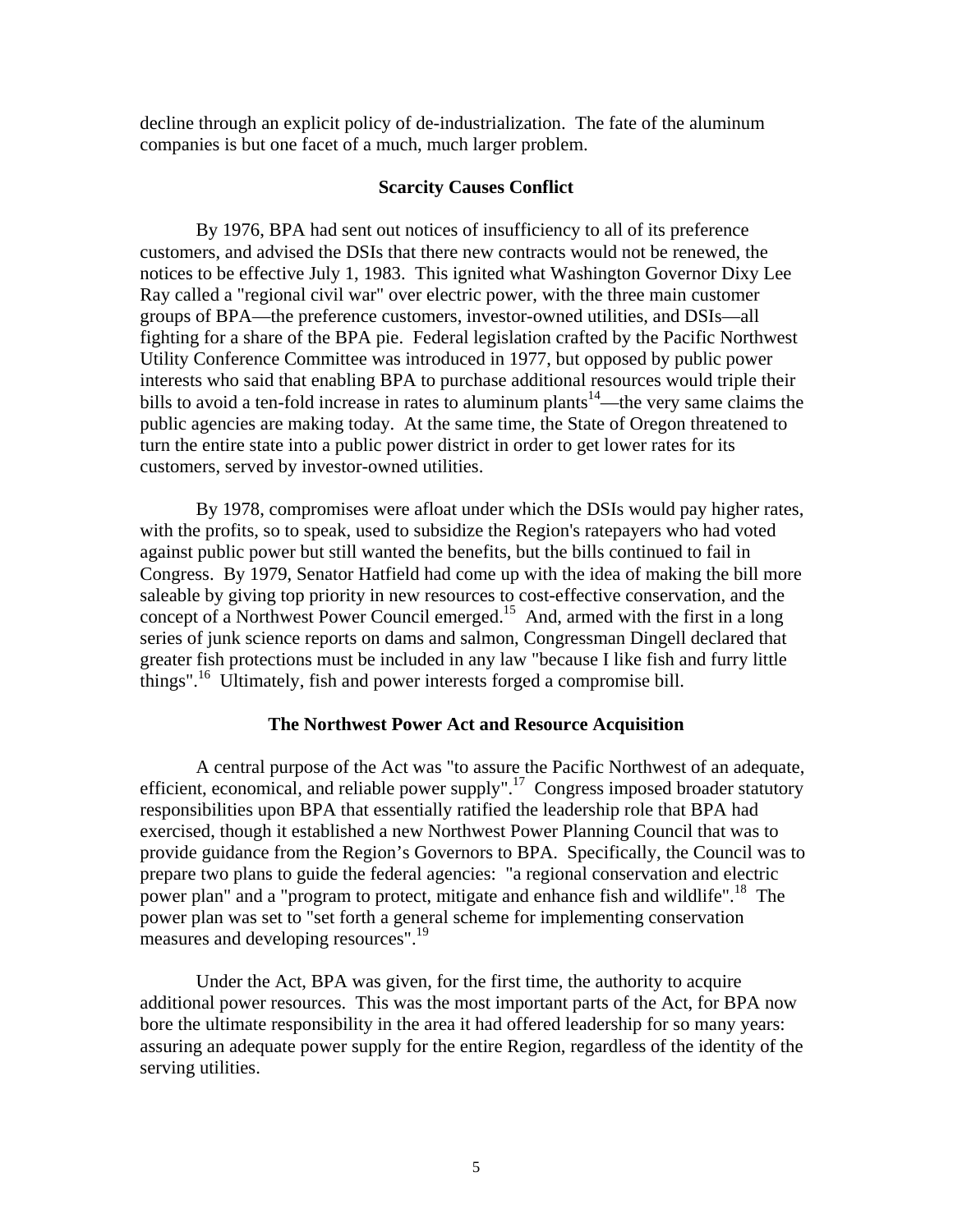decline through an explicit policy of de-industrialization. The fate of the aluminum companies is but one facet of a much, much larger problem.

### **Scarcity Causes Conflict**

By 1976, BPA had sent out notices of insufficiency to all of its preference customers, and advised the DSIs that there new contracts would not be renewed, the notices to be effective July 1, 1983. This ignited what Washington Governor Dixy Lee Ray called a "regional civil war" over electric power, with the three main customer groups of BPA—the preference customers, investor-owned utilities, and DSIs—all fighting for a share of the BPA pie. Federal legislation crafted by the Pacific Northwest Utility Conference Committee was introduced in 1977, but opposed by public power interests who said that enabling BPA to purchase additional resources would triple their bills to avoid a ten-fold increase in rates to aluminum plants<sup>14</sup>—the very same claims the public agencies are making today. At the same time, the State of Oregon threatened to turn the entire state into a public power district in order to get lower rates for its customers, served by investor-owned utilities.

By 1978, compromises were afloat under which the DSIs would pay higher rates, with the profits, so to speak, used to subsidize the Region's ratepayers who had voted against public power but still wanted the benefits, but the bills continued to fail in Congress. By 1979, Senator Hatfield had come up with the idea of making the bill more saleable by giving top priority in new resources to cost-effective conservation, and the concept of a Northwest Power Council emerged.15 And, armed with the first in a long series of junk science reports on dams and salmon, Congressman Dingell declared that greater fish protections must be included in any law "because I like fish and furry little things".<sup>16</sup> Ultimately, fish and power interests forged a compromise bill.

#### **The Northwest Power Act and Resource Acquisition**

A central purpose of the Act was "to assure the Pacific Northwest of an adequate, efficient, economical, and reliable power supply".<sup>17</sup> Congress imposed broader statutory responsibilities upon BPA that essentially ratified the leadership role that BPA had exercised, though it established a new Northwest Power Planning Council that was to provide guidance from the Region's Governors to BPA. Specifically, the Council was to prepare two plans to guide the federal agencies: "a regional conservation and electric power plan" and a "program to protect, mitigate and enhance fish and wildlife".<sup>18</sup> The power plan was set to "set forth a general scheme for implementing conservation measures and developing resources".<sup>19</sup>

Under the Act, BPA was given, for the first time, the authority to acquire additional power resources. This was the most important parts of the Act, for BPA now bore the ultimate responsibility in the area it had offered leadership for so many years: assuring an adequate power supply for the entire Region, regardless of the identity of the serving utilities.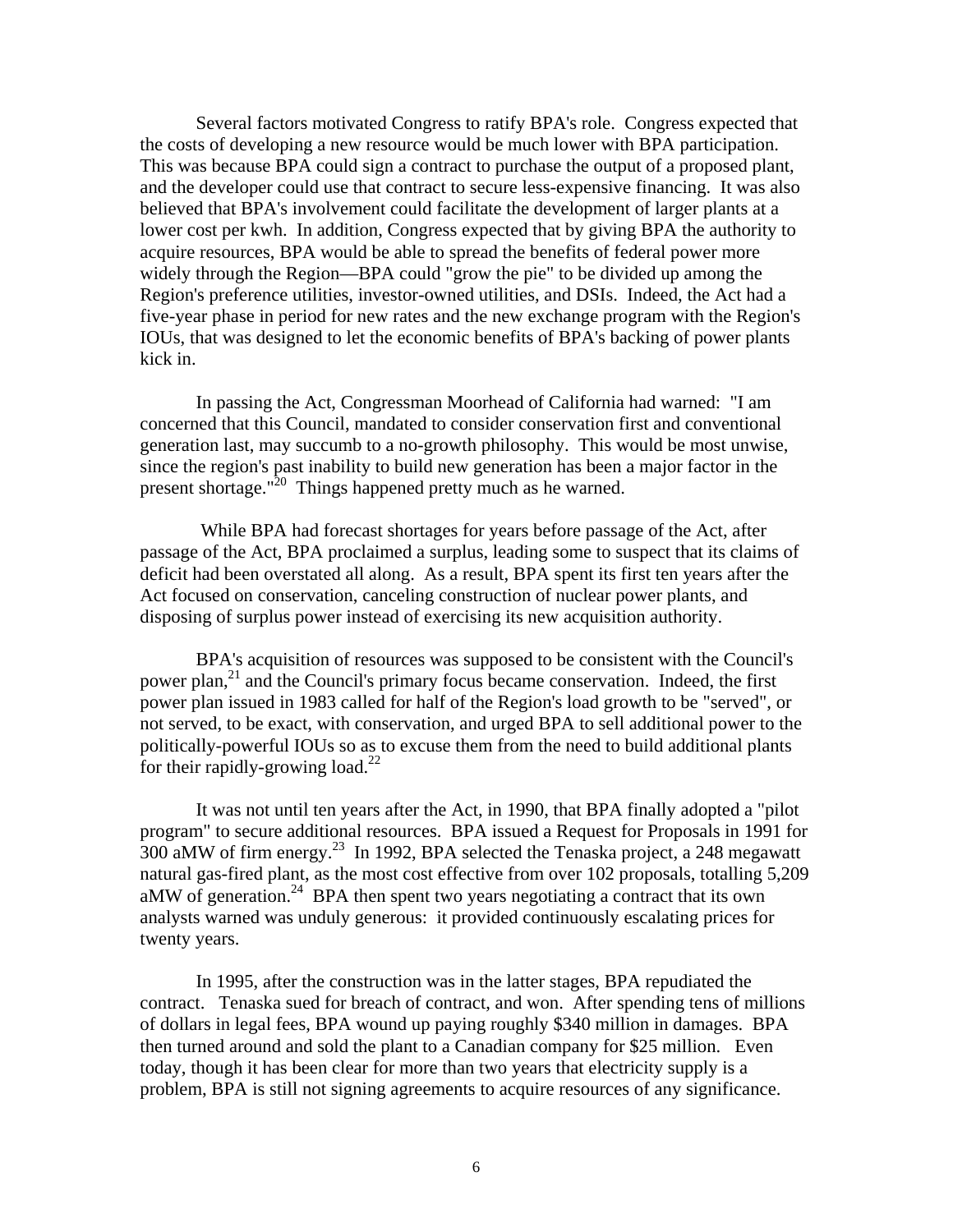Several factors motivated Congress to ratify BPA's role. Congress expected that the costs of developing a new resource would be much lower with BPA participation. This was because BPA could sign a contract to purchase the output of a proposed plant, and the developer could use that contract to secure less-expensive financing. It was also believed that BPA's involvement could facilitate the development of larger plants at a lower cost per kwh. In addition, Congress expected that by giving BPA the authority to acquire resources, BPA would be able to spread the benefits of federal power more widely through the Region—BPA could "grow the pie" to be divided up among the Region's preference utilities, investor-owned utilities, and DSIs. Indeed, the Act had a five-year phase in period for new rates and the new exchange program with the Region's IOUs, that was designed to let the economic benefits of BPA's backing of power plants kick in.

In passing the Act, Congressman Moorhead of California had warned: "I am concerned that this Council, mandated to consider conservation first and conventional generation last, may succumb to a no-growth philosophy. This would be most unwise, since the region's past inability to build new generation has been a major factor in the present shortage."<sup>20</sup> Things happened pretty much as he warned.

 While BPA had forecast shortages for years before passage of the Act, after passage of the Act, BPA proclaimed a surplus, leading some to suspect that its claims of deficit had been overstated all along. As a result, BPA spent its first ten years after the Act focused on conservation, canceling construction of nuclear power plants, and disposing of surplus power instead of exercising its new acquisition authority.

BPA's acquisition of resources was supposed to be consistent with the Council's power plan,<sup>21</sup> and the Council's primary focus became conservation. Indeed, the first power plan issued in 1983 called for half of the Region's load growth to be "served", or not served, to be exact, with conservation, and urged BPA to sell additional power to the politically-powerful IOUs so as to excuse them from the need to build additional plants for their rapidly-growing load.<sup>22</sup>

It was not until ten years after the Act, in 1990, that BPA finally adopted a "pilot program" to secure additional resources. BPA issued a Request for Proposals in 1991 for 300 aMW of firm energy.23 In 1992, BPA selected the Tenaska project, a 248 megawatt natural gas-fired plant, as the most cost effective from over 102 proposals, totalling 5,209 aMW of generation.<sup>24</sup> BPA then spent two years negotiating a contract that its own analysts warned was unduly generous: it provided continuously escalating prices for twenty years.

In 1995, after the construction was in the latter stages, BPA repudiated the contract. Tenaska sued for breach of contract, and won. After spending tens of millions of dollars in legal fees, BPA wound up paying roughly \$340 million in damages. BPA then turned around and sold the plant to a Canadian company for \$25 million. Even today, though it has been clear for more than two years that electricity supply is a problem, BPA is still not signing agreements to acquire resources of any significance.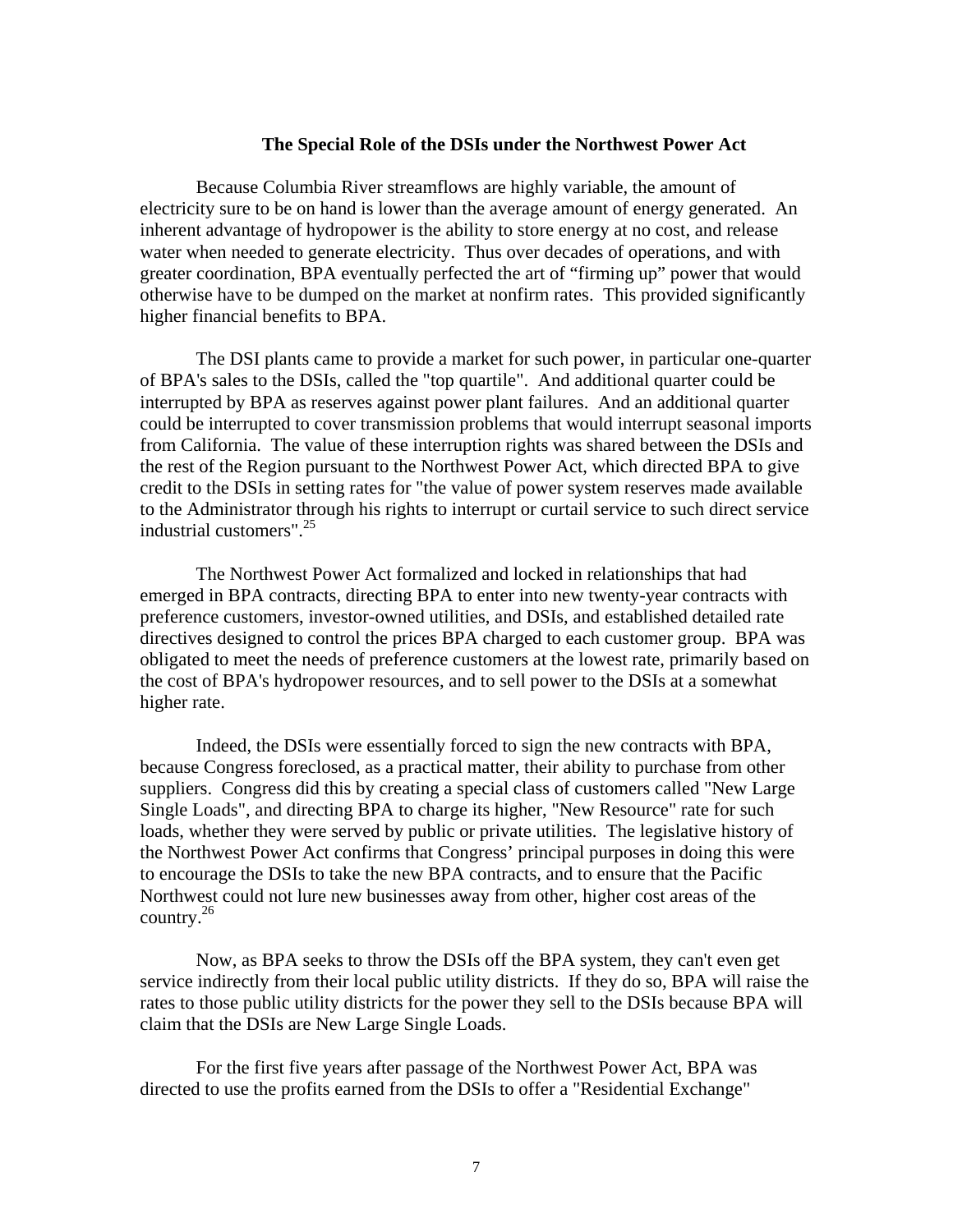## **The Special Role of the DSIs under the Northwest Power Act**

Because Columbia River streamflows are highly variable, the amount of electricity sure to be on hand is lower than the average amount of energy generated. An inherent advantage of hydropower is the ability to store energy at no cost, and release water when needed to generate electricity. Thus over decades of operations, and with greater coordination, BPA eventually perfected the art of "firming up" power that would otherwise have to be dumped on the market at nonfirm rates. This provided significantly higher financial benefits to BPA.

The DSI plants came to provide a market for such power, in particular one-quarter of BPA's sales to the DSIs, called the "top quartile". And additional quarter could be interrupted by BPA as reserves against power plant failures. And an additional quarter could be interrupted to cover transmission problems that would interrupt seasonal imports from California. The value of these interruption rights was shared between the DSIs and the rest of the Region pursuant to the Northwest Power Act, which directed BPA to give credit to the DSIs in setting rates for "the value of power system reserves made available to the Administrator through his rights to interrupt or curtail service to such direct service industrial customers".25

The Northwest Power Act formalized and locked in relationships that had emerged in BPA contracts, directing BPA to enter into new twenty-year contracts with preference customers, investor-owned utilities, and DSIs, and established detailed rate directives designed to control the prices BPA charged to each customer group. BPA was obligated to meet the needs of preference customers at the lowest rate, primarily based on the cost of BPA's hydropower resources, and to sell power to the DSIs at a somewhat higher rate.

Indeed, the DSIs were essentially forced to sign the new contracts with BPA, because Congress foreclosed, as a practical matter, their ability to purchase from other suppliers. Congress did this by creating a special class of customers called "New Large Single Loads", and directing BPA to charge its higher, "New Resource" rate for such loads, whether they were served by public or private utilities. The legislative history of the Northwest Power Act confirms that Congress' principal purposes in doing this were to encourage the DSIs to take the new BPA contracts, and to ensure that the Pacific Northwest could not lure new businesses away from other, higher cost areas of the country.26

Now, as BPA seeks to throw the DSIs off the BPA system, they can't even get service indirectly from their local public utility districts. If they do so, BPA will raise the rates to those public utility districts for the power they sell to the DSIs because BPA will claim that the DSIs are New Large Single Loads.

For the first five years after passage of the Northwest Power Act, BPA was directed to use the profits earned from the DSIs to offer a "Residential Exchange"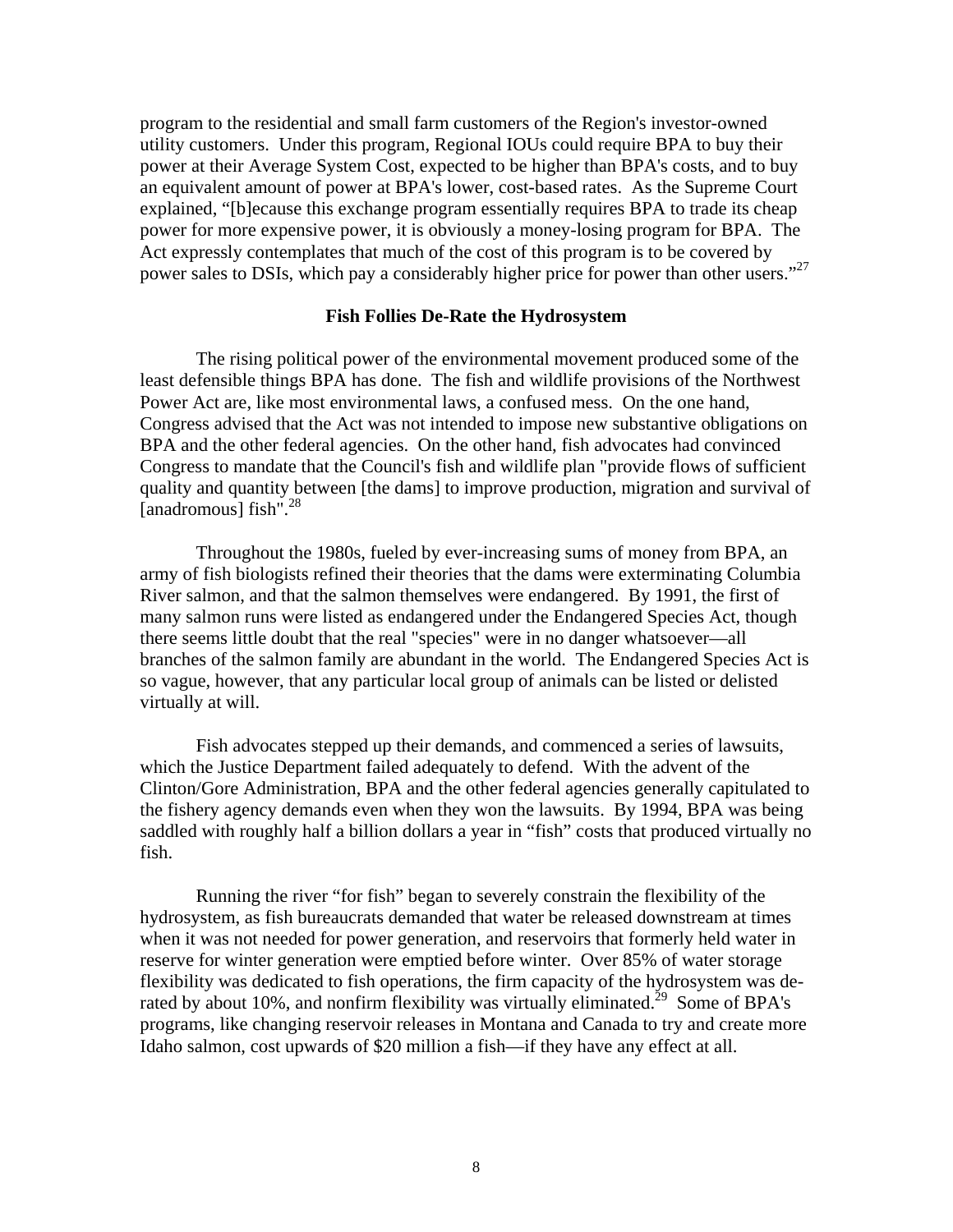program to the residential and small farm customers of the Region's investor-owned utility customers. Under this program, Regional IOUs could require BPA to buy their power at their Average System Cost, expected to be higher than BPA's costs, and to buy an equivalent amount of power at BPA's lower, cost-based rates. As the Supreme Court explained, "[b]ecause this exchange program essentially requires BPA to trade its cheap power for more expensive power, it is obviously a money-losing program for BPA. The Act expressly contemplates that much of the cost of this program is to be covered by power sales to DSIs, which pay a considerably higher price for power than other users."<sup>27</sup>

## **Fish Follies De-Rate the Hydrosystem**

The rising political power of the environmental movement produced some of the least defensible things BPA has done. The fish and wildlife provisions of the Northwest Power Act are, like most environmental laws, a confused mess. On the one hand, Congress advised that the Act was not intended to impose new substantive obligations on BPA and the other federal agencies. On the other hand, fish advocates had convinced Congress to mandate that the Council's fish and wildlife plan "provide flows of sufficient quality and quantity between [the dams] to improve production, migration and survival of [anadromous] fish".<sup>28</sup>

Throughout the 1980s, fueled by ever-increasing sums of money from BPA, an army of fish biologists refined their theories that the dams were exterminating Columbia River salmon, and that the salmon themselves were endangered. By 1991, the first of many salmon runs were listed as endangered under the Endangered Species Act, though there seems little doubt that the real "species" were in no danger whatsoever—all branches of the salmon family are abundant in the world. The Endangered Species Act is so vague, however, that any particular local group of animals can be listed or delisted virtually at will.

Fish advocates stepped up their demands, and commenced a series of lawsuits, which the Justice Department failed adequately to defend. With the advent of the Clinton/Gore Administration, BPA and the other federal agencies generally capitulated to the fishery agency demands even when they won the lawsuits. By 1994, BPA was being saddled with roughly half a billion dollars a year in "fish" costs that produced virtually no fish.

Running the river "for fish" began to severely constrain the flexibility of the hydrosystem, as fish bureaucrats demanded that water be released downstream at times when it was not needed for power generation, and reservoirs that formerly held water in reserve for winter generation were emptied before winter. Over 85% of water storage flexibility was dedicated to fish operations, the firm capacity of the hydrosystem was derated by about 10%, and nonfirm flexibility was virtually eliminated.<sup>29</sup> Some of BPA's programs, like changing reservoir releases in Montana and Canada to try and create more Idaho salmon, cost upwards of \$20 million a fish—if they have any effect at all.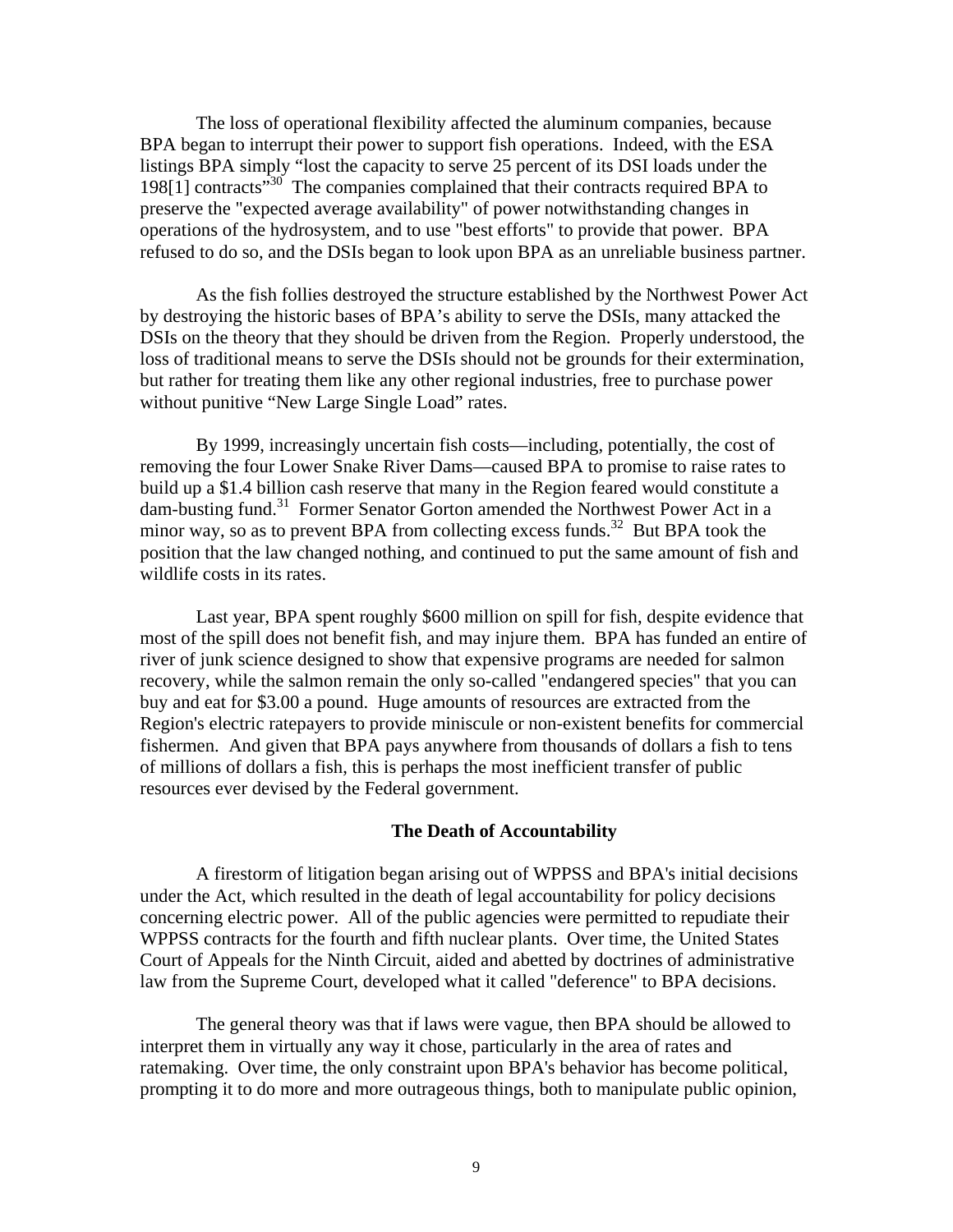The loss of operational flexibility affected the aluminum companies, because BPA began to interrupt their power to support fish operations. Indeed, with the ESA listings BPA simply "lost the capacity to serve 25 percent of its DSI loads under the 198[1] contracts"30 The companies complained that their contracts required BPA to preserve the "expected average availability" of power notwithstanding changes in operations of the hydrosystem, and to use "best efforts" to provide that power. BPA refused to do so, and the DSIs began to look upon BPA as an unreliable business partner.

As the fish follies destroyed the structure established by the Northwest Power Act by destroying the historic bases of BPA's ability to serve the DSIs, many attacked the DSIs on the theory that they should be driven from the Region. Properly understood, the loss of traditional means to serve the DSIs should not be grounds for their extermination, but rather for treating them like any other regional industries, free to purchase power without punitive "New Large Single Load" rates.

By 1999, increasingly uncertain fish costs—including, potentially, the cost of removing the four Lower Snake River Dams—caused BPA to promise to raise rates to build up a \$1.4 billion cash reserve that many in the Region feared would constitute a dam-busting fund.<sup>31</sup> Former Senator Gorton amended the Northwest Power Act in a minor way, so as to prevent BPA from collecting excess funds.<sup>32</sup> But BPA took the position that the law changed nothing, and continued to put the same amount of fish and wildlife costs in its rates.

Last year, BPA spent roughly \$600 million on spill for fish, despite evidence that most of the spill does not benefit fish, and may injure them. BPA has funded an entire of river of junk science designed to show that expensive programs are needed for salmon recovery, while the salmon remain the only so-called "endangered species" that you can buy and eat for \$3.00 a pound. Huge amounts of resources are extracted from the Region's electric ratepayers to provide miniscule or non-existent benefits for commercial fishermen. And given that BPA pays anywhere from thousands of dollars a fish to tens of millions of dollars a fish, this is perhaps the most inefficient transfer of public resources ever devised by the Federal government.

#### **The Death of Accountability**

A firestorm of litigation began arising out of WPPSS and BPA's initial decisions under the Act, which resulted in the death of legal accountability for policy decisions concerning electric power. All of the public agencies were permitted to repudiate their WPPSS contracts for the fourth and fifth nuclear plants. Over time, the United States Court of Appeals for the Ninth Circuit, aided and abetted by doctrines of administrative law from the Supreme Court, developed what it called "deference" to BPA decisions.

The general theory was that if laws were vague, then BPA should be allowed to interpret them in virtually any way it chose, particularly in the area of rates and ratemaking. Over time, the only constraint upon BPA's behavior has become political, prompting it to do more and more outrageous things, both to manipulate public opinion,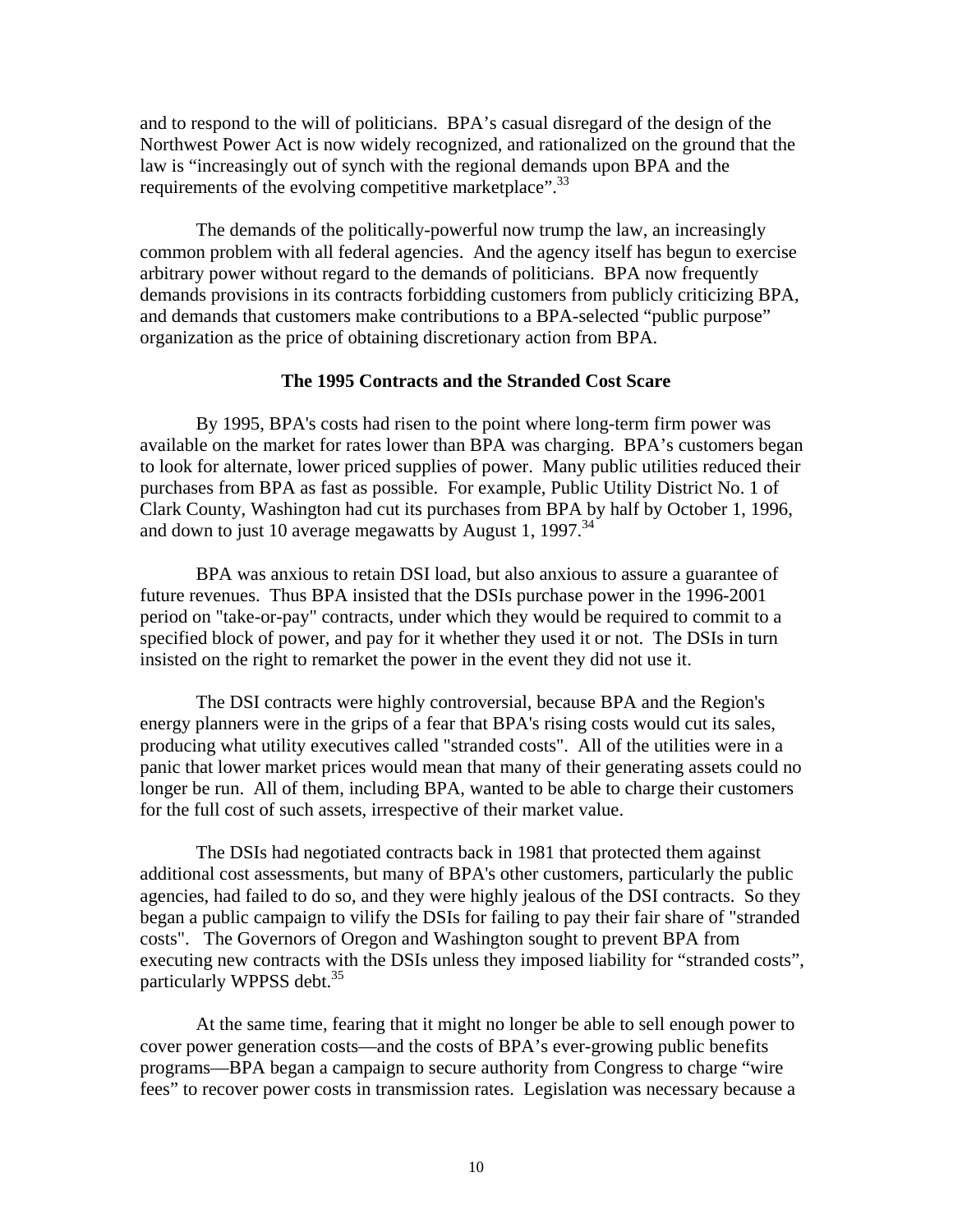and to respond to the will of politicians. BPA's casual disregard of the design of the Northwest Power Act is now widely recognized, and rationalized on the ground that the law is "increasingly out of synch with the regional demands upon BPA and the requirements of the evolving competitive marketplace".<sup>33</sup>

The demands of the politically-powerful now trump the law, an increasingly common problem with all federal agencies. And the agency itself has begun to exercise arbitrary power without regard to the demands of politicians. BPA now frequently demands provisions in its contracts forbidding customers from publicly criticizing BPA, and demands that customers make contributions to a BPA-selected "public purpose" organization as the price of obtaining discretionary action from BPA.

#### **The 1995 Contracts and the Stranded Cost Scare**

By 1995, BPA's costs had risen to the point where long-term firm power was available on the market for rates lower than BPA was charging. BPA's customers began to look for alternate, lower priced supplies of power. Many public utilities reduced their purchases from BPA as fast as possible. For example, Public Utility District No. 1 of Clark County, Washington had cut its purchases from BPA by half by October 1, 1996, and down to just 10 average megawatts by August 1, 1997.<sup>34</sup>

BPA was anxious to retain DSI load, but also anxious to assure a guarantee of future revenues. Thus BPA insisted that the DSIs purchase power in the 1996-2001 period on "take-or-pay" contracts, under which they would be required to commit to a specified block of power, and pay for it whether they used it or not. The DSIs in turn insisted on the right to remarket the power in the event they did not use it.

 The DSI contracts were highly controversial, because BPA and the Region's energy planners were in the grips of a fear that BPA's rising costs would cut its sales, producing what utility executives called "stranded costs". All of the utilities were in a panic that lower market prices would mean that many of their generating assets could no longer be run. All of them, including BPA, wanted to be able to charge their customers for the full cost of such assets, irrespective of their market value.

The DSIs had negotiated contracts back in 1981 that protected them against additional cost assessments, but many of BPA's other customers, particularly the public agencies, had failed to do so, and they were highly jealous of the DSI contracts. So they began a public campaign to vilify the DSIs for failing to pay their fair share of "stranded costs". The Governors of Oregon and Washington sought to prevent BPA from executing new contracts with the DSIs unless they imposed liability for "stranded costs", particularly WPPSS debt.<sup>35</sup>

At the same time, fearing that it might no longer be able to sell enough power to cover power generation costs—and the costs of BPA's ever-growing public benefits programs—BPA began a campaign to secure authority from Congress to charge "wire fees" to recover power costs in transmission rates. Legislation was necessary because a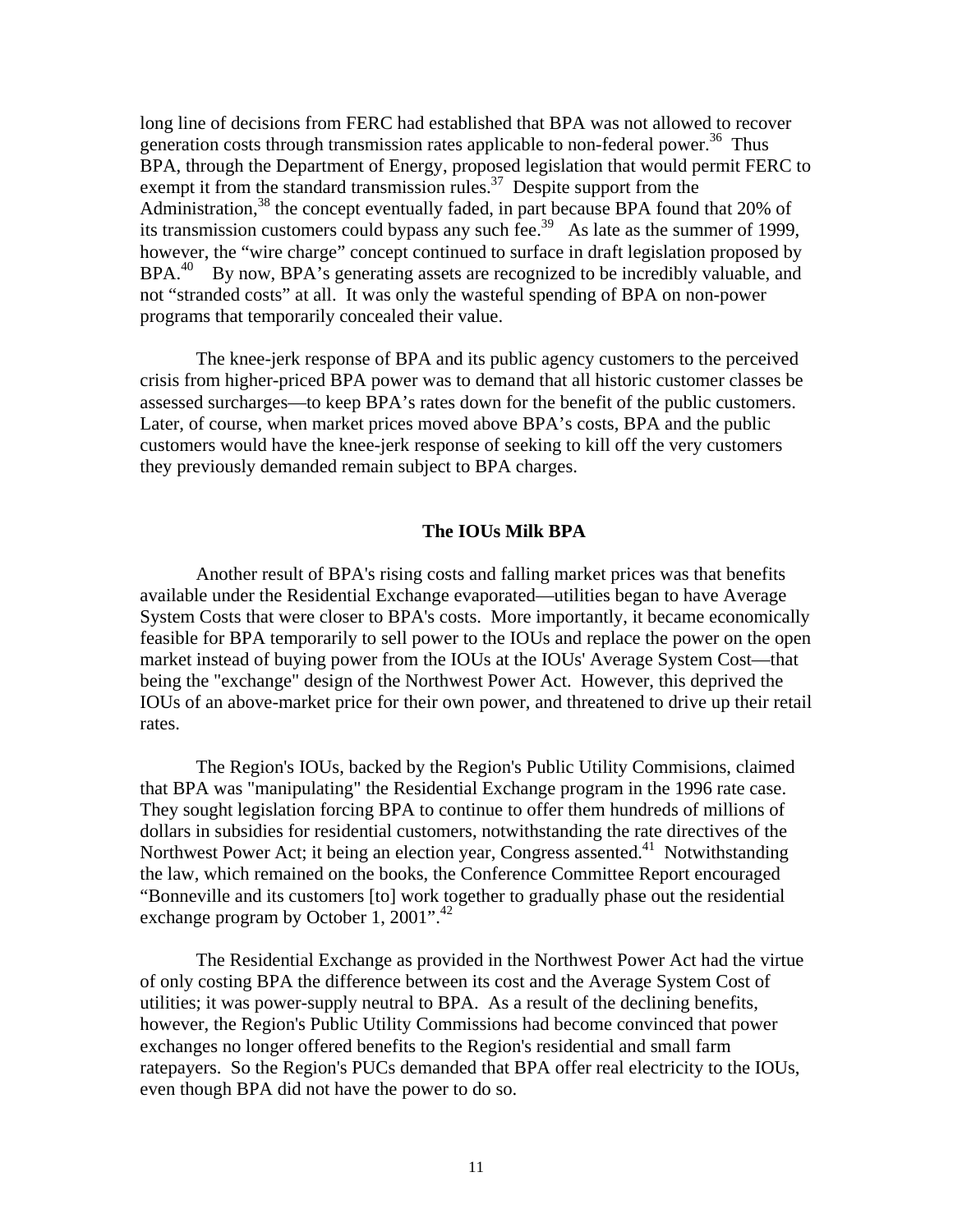long line of decisions from FERC had established that BPA was not allowed to recover generation costs through transmission rates applicable to non-federal power.<sup>36</sup> Thus BPA, through the Department of Energy, proposed legislation that would permit FERC to exempt it from the standard transmission rules.<sup>37</sup> Despite support from the Administration,<sup>38</sup> the concept eventually faded, in part because BPA found that 20% of its transmission customers could bypass any such fee.<sup>39</sup> As late as the summer of 1999, however, the "wire charge" concept continued to surface in draft legislation proposed by BPA.<sup>40</sup> By now, BPA's generating assets are recognized to be incredibly valuable, and not "stranded costs" at all. It was only the wasteful spending of BPA on non-power programs that temporarily concealed their value.

The knee-jerk response of BPA and its public agency customers to the perceived crisis from higher-priced BPA power was to demand that all historic customer classes be assessed surcharges—to keep BPA's rates down for the benefit of the public customers. Later, of course, when market prices moved above BPA's costs, BPA and the public customers would have the knee-jerk response of seeking to kill off the very customers they previously demanded remain subject to BPA charges.

## **The IOUs Milk BPA**

Another result of BPA's rising costs and falling market prices was that benefits available under the Residential Exchange evaporated—utilities began to have Average System Costs that were closer to BPA's costs. More importantly, it became economically feasible for BPA temporarily to sell power to the IOUs and replace the power on the open market instead of buying power from the IOUs at the IOUs' Average System Cost—that being the "exchange" design of the Northwest Power Act. However, this deprived the IOUs of an above-market price for their own power, and threatened to drive up their retail rates.

The Region's IOUs, backed by the Region's Public Utility Commisions, claimed that BPA was "manipulating" the Residential Exchange program in the 1996 rate case. They sought legislation forcing BPA to continue to offer them hundreds of millions of dollars in subsidies for residential customers, notwithstanding the rate directives of the Northwest Power Act; it being an election year, Congress assented.<sup>41</sup> Notwithstanding the law, which remained on the books, the Conference Committee Report encouraged "Bonneville and its customers [to] work together to gradually phase out the residential exchange program by October 1, 2001".<sup>42</sup>

The Residential Exchange as provided in the Northwest Power Act had the virtue of only costing BPA the difference between its cost and the Average System Cost of utilities; it was power-supply neutral to BPA. As a result of the declining benefits, however, the Region's Public Utility Commissions had become convinced that power exchanges no longer offered benefits to the Region's residential and small farm ratepayers. So the Region's PUCs demanded that BPA offer real electricity to the IOUs, even though BPA did not have the power to do so.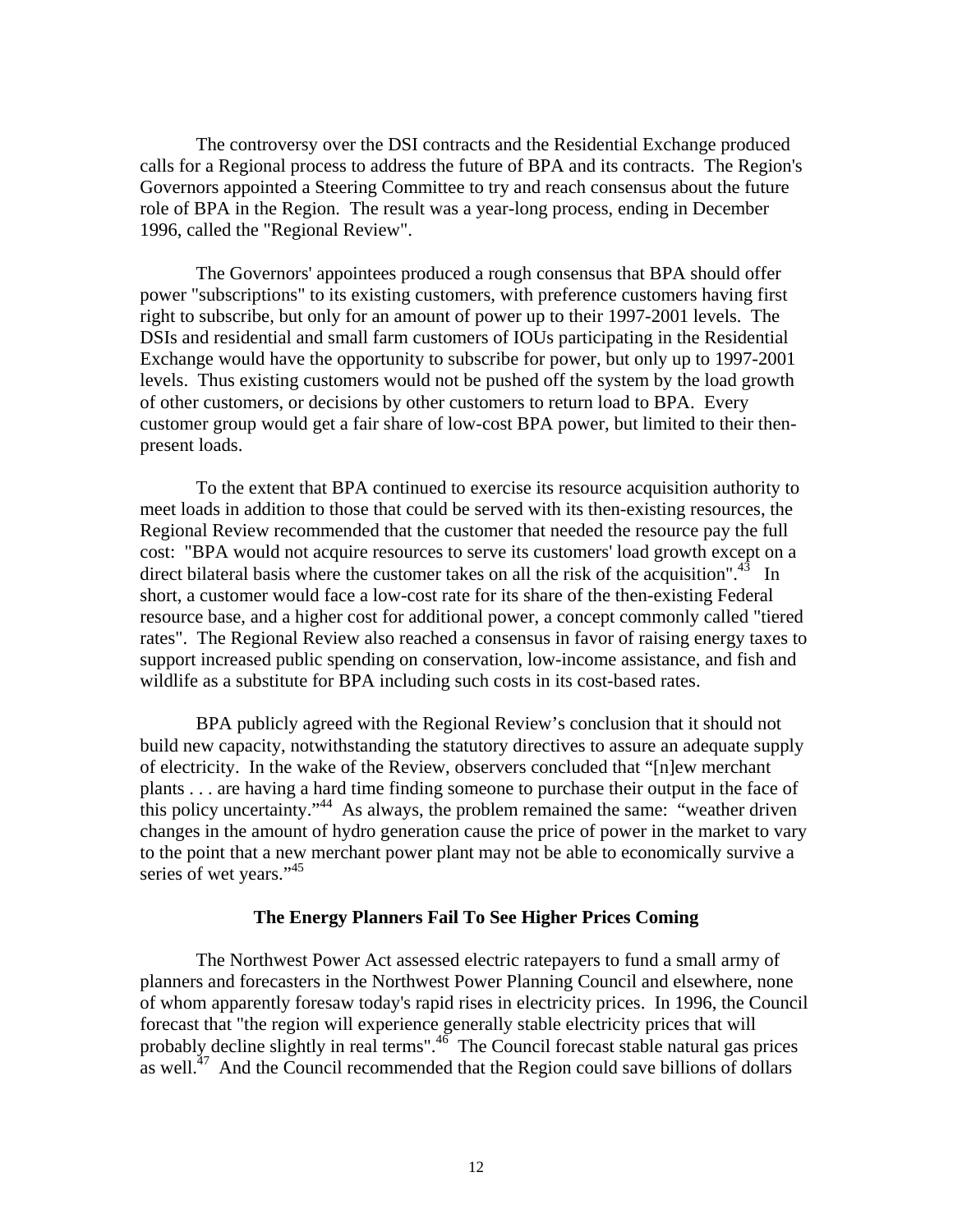The controversy over the DSI contracts and the Residential Exchange produced calls for a Regional process to address the future of BPA and its contracts. The Region's Governors appointed a Steering Committee to try and reach consensus about the future role of BPA in the Region. The result was a year-long process, ending in December 1996, called the "Regional Review".

The Governors' appointees produced a rough consensus that BPA should offer power "subscriptions" to its existing customers, with preference customers having first right to subscribe, but only for an amount of power up to their 1997-2001 levels. The DSIs and residential and small farm customers of IOUs participating in the Residential Exchange would have the opportunity to subscribe for power, but only up to 1997-2001 levels. Thus existing customers would not be pushed off the system by the load growth of other customers, or decisions by other customers to return load to BPA. Every customer group would get a fair share of low-cost BPA power, but limited to their thenpresent loads.

To the extent that BPA continued to exercise its resource acquisition authority to meet loads in addition to those that could be served with its then-existing resources, the Regional Review recommended that the customer that needed the resource pay the full cost: "BPA would not acquire resources to serve its customers' load growth except on a direct bilateral basis where the customer takes on all the risk of the acquisition".<sup>43</sup> In short, a customer would face a low-cost rate for its share of the then-existing Federal resource base, and a higher cost for additional power, a concept commonly called "tiered rates". The Regional Review also reached a consensus in favor of raising energy taxes to support increased public spending on conservation, low-income assistance, and fish and wildlife as a substitute for BPA including such costs in its cost-based rates.

BPA publicly agreed with the Regional Review's conclusion that it should not build new capacity, notwithstanding the statutory directives to assure an adequate supply of electricity. In the wake of the Review, observers concluded that "[n]ew merchant plants . . . are having a hard time finding someone to purchase their output in the face of this policy uncertainty."44 As always, the problem remained the same: "weather driven changes in the amount of hydro generation cause the price of power in the market to vary to the point that a new merchant power plant may not be able to economically survive a series of wet years."<sup>45</sup>

### **The Energy Planners Fail To See Higher Prices Coming**

 The Northwest Power Act assessed electric ratepayers to fund a small army of planners and forecasters in the Northwest Power Planning Council and elsewhere, none of whom apparently foresaw today's rapid rises in electricity prices. In 1996, the Council forecast that "the region will experience generally stable electricity prices that will probably decline slightly in real terms".<sup>46</sup> The Council forecast stable natural gas prices as well. $^{47}$  And the Council recommended that the Region could save billions of dollars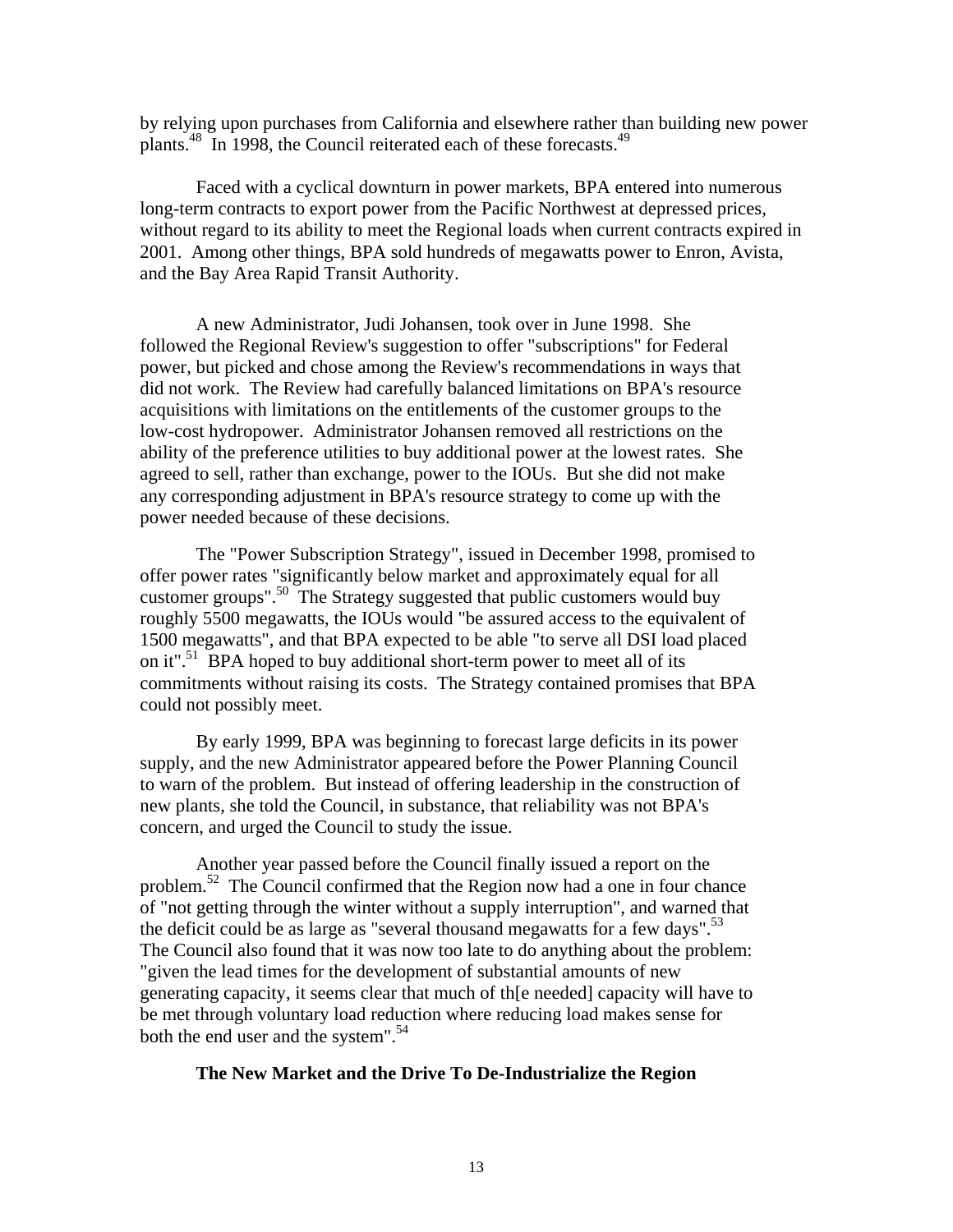by relying upon purchases from California and elsewhere rather than building new power plants.<sup>48</sup> In 1998, the Council reiterated each of these forecasts.<sup>49</sup>

Faced with a cyclical downturn in power markets, BPA entered into numerous long-term contracts to export power from the Pacific Northwest at depressed prices, without regard to its ability to meet the Regional loads when current contracts expired in 2001. Among other things, BPA sold hundreds of megawatts power to Enron, Avista, and the Bay Area Rapid Transit Authority.

A new Administrator, Judi Johansen, took over in June 1998. She followed the Regional Review's suggestion to offer "subscriptions" for Federal power, but picked and chose among the Review's recommendations in ways that did not work. The Review had carefully balanced limitations on BPA's resource acquisitions with limitations on the entitlements of the customer groups to the low-cost hydropower. Administrator Johansen removed all restrictions on the ability of the preference utilities to buy additional power at the lowest rates. She agreed to sell, rather than exchange, power to the IOUs. But she did not make any corresponding adjustment in BPA's resource strategy to come up with the power needed because of these decisions.

The "Power Subscription Strategy", issued in December 1998, promised to offer power rates "significantly below market and approximately equal for all customer groups".50 The Strategy suggested that public customers would buy roughly 5500 megawatts, the IOUs would "be assured access to the equivalent of 1500 megawatts", and that BPA expected to be able "to serve all DSI load placed on it".<sup>51</sup> BPA hoped to buy additional short-term power to meet all of its commitments without raising its costs. The Strategy contained promises that BPA could not possibly meet.

By early 1999, BPA was beginning to forecast large deficits in its power supply, and the new Administrator appeared before the Power Planning Council to warn of the problem. But instead of offering leadership in the construction of new plants, she told the Council, in substance, that reliability was not BPA's concern, and urged the Council to study the issue.

Another year passed before the Council finally issued a report on the problem.<sup>52</sup> The Council confirmed that the Region now had a one in four chance of "not getting through the winter without a supply interruption", and warned that the deficit could be as large as "several thousand megawatts for a few days".<sup>53</sup> The Council also found that it was now too late to do anything about the problem: "given the lead times for the development of substantial amounts of new generating capacity, it seems clear that much of th[e needed] capacity will have to be met through voluntary load reduction where reducing load makes sense for both the end user and the system". $54$ 

## **The New Market and the Drive To De-Industrialize the Region**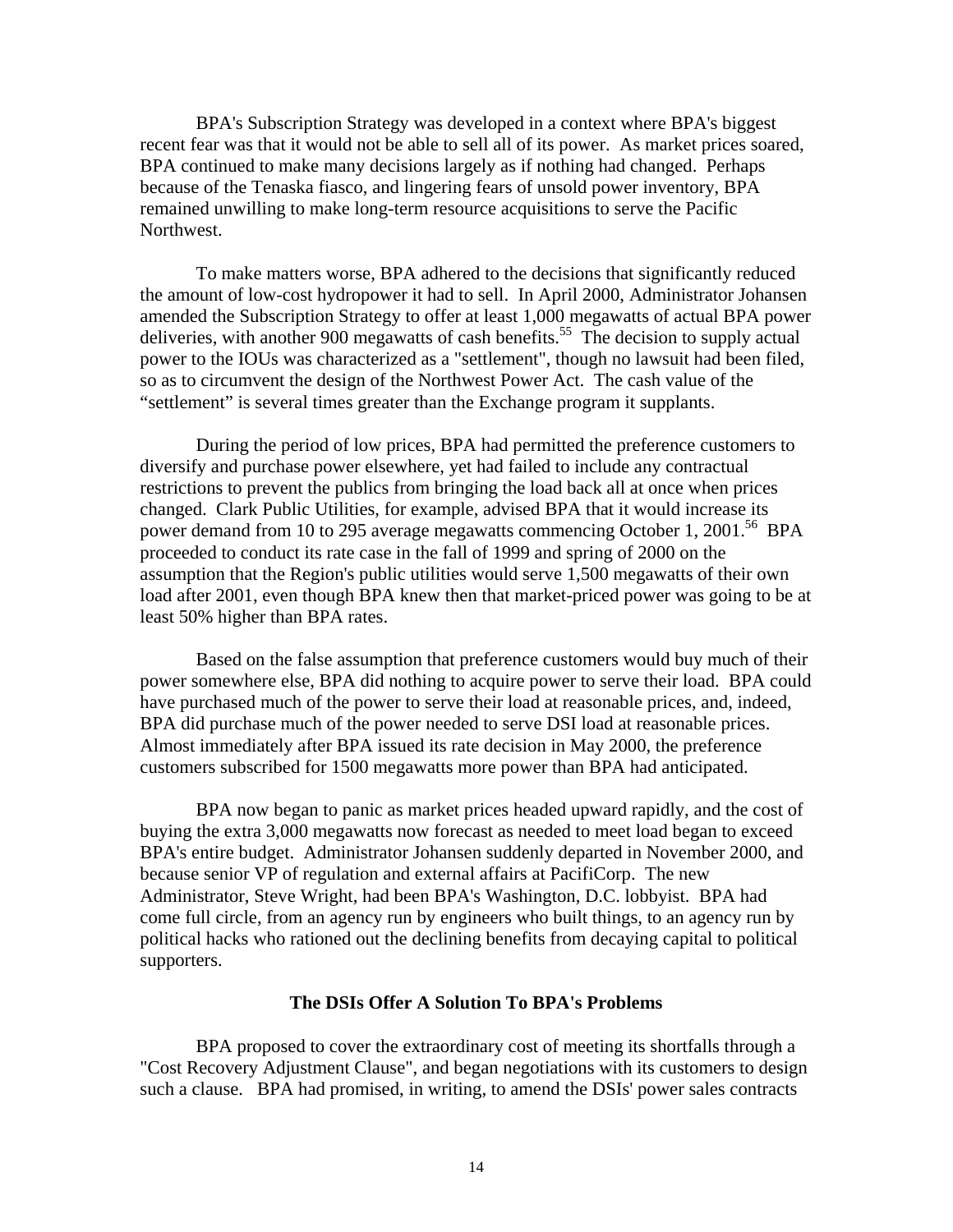BPA's Subscription Strategy was developed in a context where BPA's biggest recent fear was that it would not be able to sell all of its power. As market prices soared, BPA continued to make many decisions largely as if nothing had changed. Perhaps because of the Tenaska fiasco, and lingering fears of unsold power inventory, BPA remained unwilling to make long-term resource acquisitions to serve the Pacific Northwest.

To make matters worse, BPA adhered to the decisions that significantly reduced the amount of low-cost hydropower it had to sell. In April 2000, Administrator Johansen amended the Subscription Strategy to offer at least 1,000 megawatts of actual BPA power deliveries, with another 900 megawatts of cash benefits.<sup>55</sup> The decision to supply actual power to the IOUs was characterized as a "settlement", though no lawsuit had been filed, so as to circumvent the design of the Northwest Power Act. The cash value of the "settlement" is several times greater than the Exchange program it supplants.

 During the period of low prices, BPA had permitted the preference customers to diversify and purchase power elsewhere, yet had failed to include any contractual restrictions to prevent the publics from bringing the load back all at once when prices changed. Clark Public Utilities, for example, advised BPA that it would increase its power demand from 10 to 295 average megawatts commencing October 1, 2001.<sup>56</sup> BPA proceeded to conduct its rate case in the fall of 1999 and spring of 2000 on the assumption that the Region's public utilities would serve 1,500 megawatts of their own load after 2001, even though BPA knew then that market-priced power was going to be at least 50% higher than BPA rates.

Based on the false assumption that preference customers would buy much of their power somewhere else, BPA did nothing to acquire power to serve their load. BPA could have purchased much of the power to serve their load at reasonable prices, and, indeed, BPA did purchase much of the power needed to serve DSI load at reasonable prices. Almost immediately after BPA issued its rate decision in May 2000, the preference customers subscribed for 1500 megawatts more power than BPA had anticipated.

BPA now began to panic as market prices headed upward rapidly, and the cost of buying the extra 3,000 megawatts now forecast as needed to meet load began to exceed BPA's entire budget. Administrator Johansen suddenly departed in November 2000, and because senior VP of regulation and external affairs at PacifiCorp. The new Administrator, Steve Wright, had been BPA's Washington, D.C. lobbyist. BPA had come full circle, from an agency run by engineers who built things, to an agency run by political hacks who rationed out the declining benefits from decaying capital to political supporters.

#### **The DSIs Offer A Solution To BPA's Problems**

BPA proposed to cover the extraordinary cost of meeting its shortfalls through a "Cost Recovery Adjustment Clause", and began negotiations with its customers to design such a clause. BPA had promised, in writing, to amend the DSIs' power sales contracts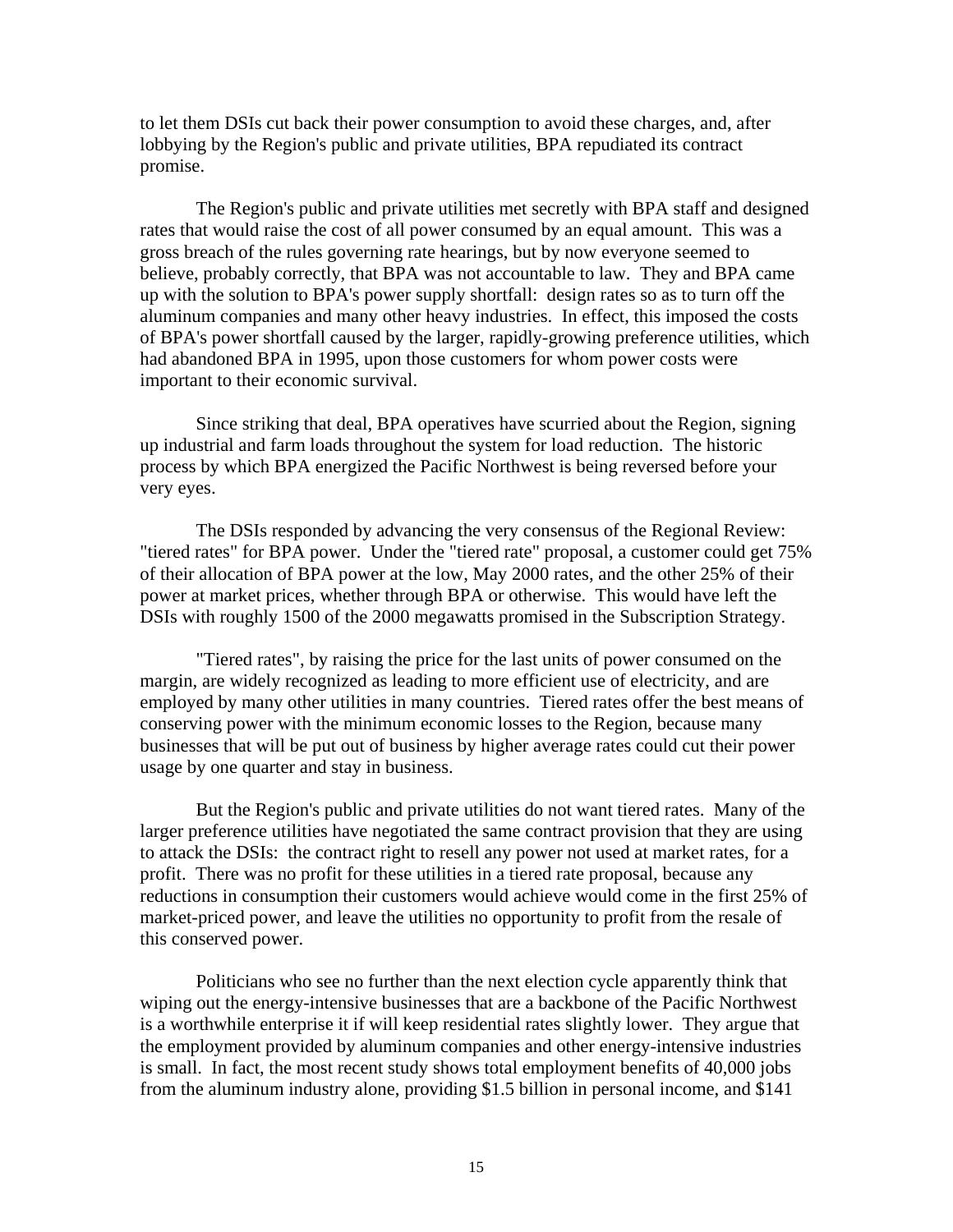to let them DSIs cut back their power consumption to avoid these charges, and, after lobbying by the Region's public and private utilities, BPA repudiated its contract promise.

 The Region's public and private utilities met secretly with BPA staff and designed rates that would raise the cost of all power consumed by an equal amount. This was a gross breach of the rules governing rate hearings, but by now everyone seemed to believe, probably correctly, that BPA was not accountable to law. They and BPA came up with the solution to BPA's power supply shortfall: design rates so as to turn off the aluminum companies and many other heavy industries. In effect, this imposed the costs of BPA's power shortfall caused by the larger, rapidly-growing preference utilities, which had abandoned BPA in 1995, upon those customers for whom power costs were important to their economic survival.

 Since striking that deal, BPA operatives have scurried about the Region, signing up industrial and farm loads throughout the system for load reduction. The historic process by which BPA energized the Pacific Northwest is being reversed before your very eyes.

The DSIs responded by advancing the very consensus of the Regional Review: "tiered rates" for BPA power. Under the "tiered rate" proposal, a customer could get 75% of their allocation of BPA power at the low, May 2000 rates, and the other 25% of their power at market prices, whether through BPA or otherwise. This would have left the DSIs with roughly 1500 of the 2000 megawatts promised in the Subscription Strategy.

"Tiered rates", by raising the price for the last units of power consumed on the margin, are widely recognized as leading to more efficient use of electricity, and are employed by many other utilities in many countries. Tiered rates offer the best means of conserving power with the minimum economic losses to the Region, because many businesses that will be put out of business by higher average rates could cut their power usage by one quarter and stay in business.

 But the Region's public and private utilities do not want tiered rates. Many of the larger preference utilities have negotiated the same contract provision that they are using to attack the DSIs: the contract right to resell any power not used at market rates, for a profit. There was no profit for these utilities in a tiered rate proposal, because any reductions in consumption their customers would achieve would come in the first 25% of market-priced power, and leave the utilities no opportunity to profit from the resale of this conserved power.

 Politicians who see no further than the next election cycle apparently think that wiping out the energy-intensive businesses that are a backbone of the Pacific Northwest is a worthwhile enterprise it if will keep residential rates slightly lower. They argue that the employment provided by aluminum companies and other energy-intensive industries is small. In fact, the most recent study shows total employment benefits of 40,000 jobs from the aluminum industry alone, providing \$1.5 billion in personal income, and \$141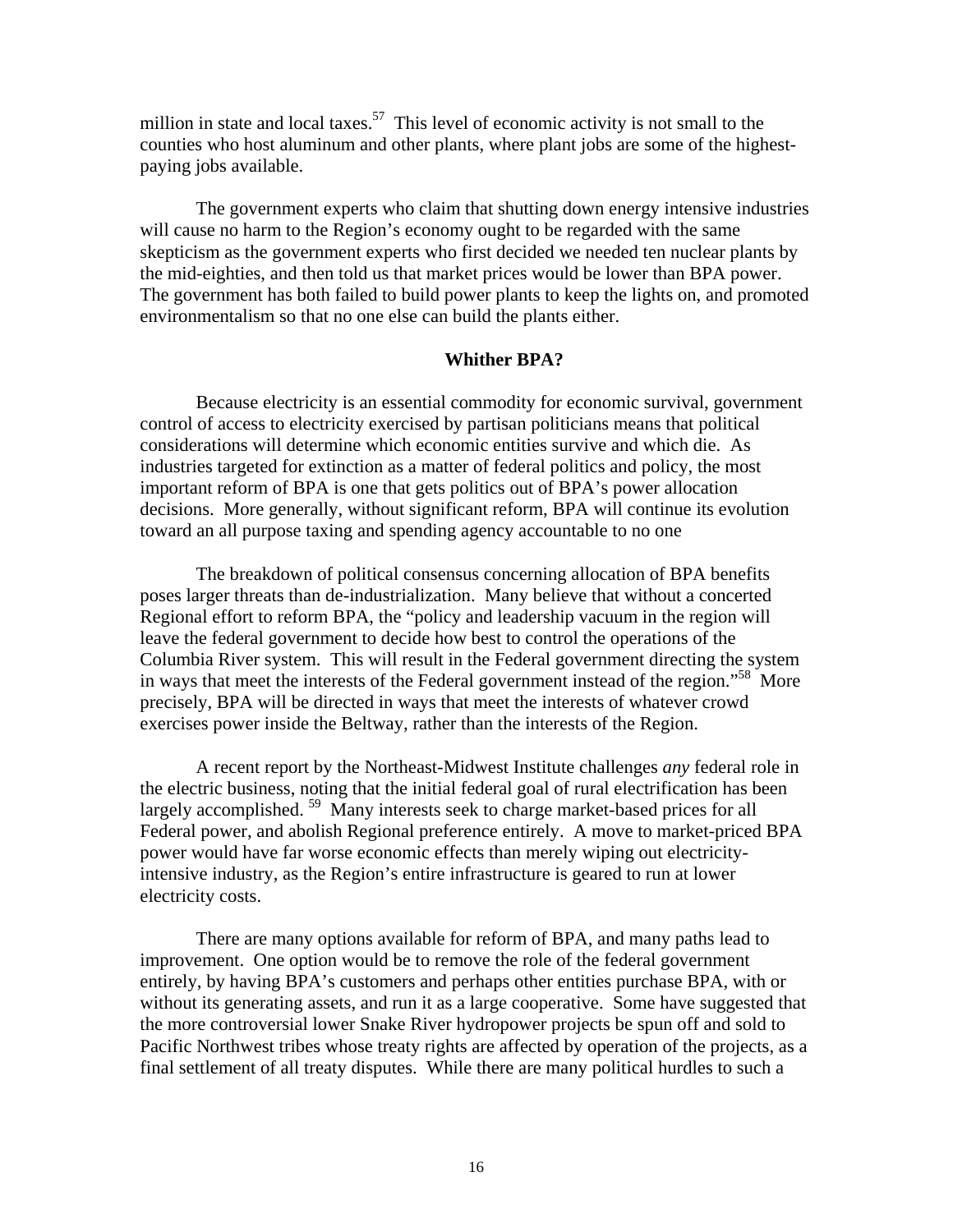million in state and local taxes.<sup>57</sup> This level of economic activity is not small to the counties who host aluminum and other plants, where plant jobs are some of the highestpaying jobs available.

The government experts who claim that shutting down energy intensive industries will cause no harm to the Region's economy ought to be regarded with the same skepticism as the government experts who first decided we needed ten nuclear plants by the mid-eighties, and then told us that market prices would be lower than BPA power. The government has both failed to build power plants to keep the lights on, and promoted environmentalism so that no one else can build the plants either.

# **Whither BPA?**

Because electricity is an essential commodity for economic survival, government control of access to electricity exercised by partisan politicians means that political considerations will determine which economic entities survive and which die. As industries targeted for extinction as a matter of federal politics and policy, the most important reform of BPA is one that gets politics out of BPA's power allocation decisions. More generally, without significant reform, BPA will continue its evolution toward an all purpose taxing and spending agency accountable to no one

The breakdown of political consensus concerning allocation of BPA benefits poses larger threats than de-industrialization. Many believe that without a concerted Regional effort to reform BPA, the "policy and leadership vacuum in the region will leave the federal government to decide how best to control the operations of the Columbia River system. This will result in the Federal government directing the system in ways that meet the interests of the Federal government instead of the region.<sup>58</sup> More precisely, BPA will be directed in ways that meet the interests of whatever crowd exercises power inside the Beltway, rather than the interests of the Region.

A recent report by the Northeast-Midwest Institute challenges *any* federal role in the electric business, noting that the initial federal goal of rural electrification has been largely accomplished.<sup>59</sup> Many interests seek to charge market-based prices for all Federal power, and abolish Regional preference entirely. A move to market-priced BPA power would have far worse economic effects than merely wiping out electricityintensive industry, as the Region's entire infrastructure is geared to run at lower electricity costs.

There are many options available for reform of BPA, and many paths lead to improvement. One option would be to remove the role of the federal government entirely, by having BPA's customers and perhaps other entities purchase BPA, with or without its generating assets, and run it as a large cooperative. Some have suggested that the more controversial lower Snake River hydropower projects be spun off and sold to Pacific Northwest tribes whose treaty rights are affected by operation of the projects, as a final settlement of all treaty disputes. While there are many political hurdles to such a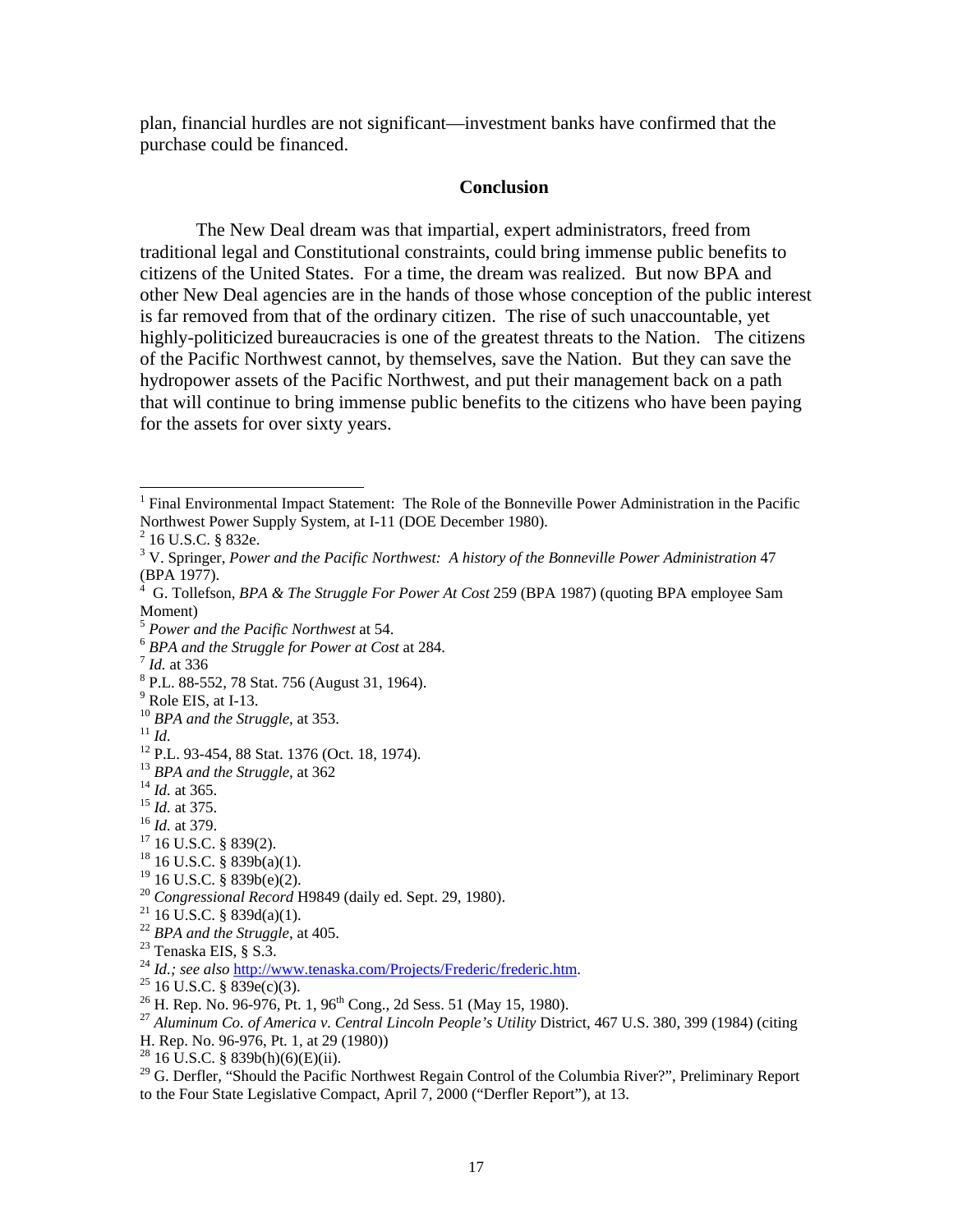plan, financial hurdles are not significant—investment banks have confirmed that the purchase could be financed.

## **Conclusion**

The New Deal dream was that impartial, expert administrators, freed from traditional legal and Constitutional constraints, could bring immense public benefits to citizens of the United States. For a time, the dream was realized. But now BPA and other New Deal agencies are in the hands of those whose conception of the public interest is far removed from that of the ordinary citizen. The rise of such unaccountable, yet highly-politicized bureaucracies is one of the greatest threats to the Nation. The citizens of the Pacific Northwest cannot, by themselves, save the Nation. But they can save the hydropower assets of the Pacific Northwest, and put their management back on a path that will continue to bring immense public benefits to the citizens who have been paying for the assets for over sixty years.

H. Rep. No. 96-976, Pt. 1, at 29 (1980))

 1 Final Environmental Impact Statement: The Role of the Bonneville Power Administration in the Pacific Northwest Power Supply System, at I-11 (DOE December 1980).

<sup>&</sup>lt;sup>2</sup> 16 U.S.C. § 832e.

<sup>&</sup>lt;sup>3</sup> V. Springer, *Power and the Pacific Northwest: A history of the Bonneville Power Administration 47* (BPA 1977).

<sup>4</sup> G. Tollefson, *BPA & The Struggle For Power At Cost* 259 (BPA 1987) (quoting BPA employee Sam Moment)

<sup>&</sup>lt;sup>5</sup> *Power and the Pacific Northwest* at 54.<br><sup>6</sup> *BPA and the Struggle for Power at Cost* at 284.<br><sup>7</sup> *Id.* at 336

P.L. 88-552, 78 Stat. 756 (August 31, 1964).

 $<sup>9</sup>$  Role EIS, at I-13.</sup>

<sup>&</sup>lt;sup>10</sup> *BPA and the Struggle, at* 353.<br><sup>11</sup> *Id.* <sup>12</sup> P.L. 93-454, 88 Stat. 1376 (Oct. 18, 1974).

<sup>&</sup>lt;sup>13</sup> *BPA and the Struggle, at* 362<br><sup>14</sup> *Id. at* 365.<br><sup>15</sup> *Id.* at 375.<br><sup>16</sup> *Id.* at 379.<br><sup>17</sup> 16 U.S.C. § 839(2).

 $18$  16 U.S.C. § 839b(a)(1).

 $19$  16 U.S.C. § 839b(e)(2).

<sup>20</sup> *Congressional Record* H9849 (daily ed. Sept. 29, 1980). 21 16 U.S.C. § 839d(a)(1).

<sup>22</sup> *BPA and the Struggle*, at 405. 23 Tenaska EIS, § S.3.

<sup>&</sup>lt;sup>24</sup> *Id.; see also* http://www.tenaska.com/Projects/Frederic/frederic.htm.<br><sup>25</sup> 16 U.S.C. § 839e(c)(3).<br><sup>26</sup> H. Rep. No. 96-976, Pt. 1, 96<sup>th</sup> Cong., 2d Sess. 51 (May 15, 1980).

<sup>&</sup>lt;sup>27</sup> Aluminum Co. of America v. Central Lincoln People's Utility District, 467 U.S. 380, 399 (1984) (citing

 $^{28}$  16 U.S.C. § 839b(h)(6)(E)(ii).

 $^{29}$  G. Derfler, "Should the Pacific Northwest Regain Control of the Columbia River?", Preliminary Report to the Four State Legislative Compact, April 7, 2000 ("Derfler Report"), at 13.